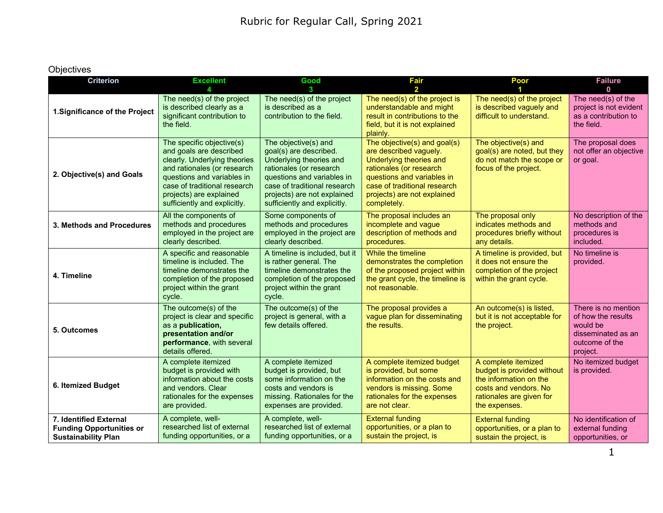## **Objectives**

| <b>Criterion</b>                                                                        | <b>Excellent</b>                                                                                                                                                                                                                             | Good                                                                                                                                                                                                                              | <b>Fair</b>                                                                                                                                                                                                              | Poor                                                                                                                                              | <b>Failure</b>                                                                                            |
|-----------------------------------------------------------------------------------------|----------------------------------------------------------------------------------------------------------------------------------------------------------------------------------------------------------------------------------------------|-----------------------------------------------------------------------------------------------------------------------------------------------------------------------------------------------------------------------------------|--------------------------------------------------------------------------------------------------------------------------------------------------------------------------------------------------------------------------|---------------------------------------------------------------------------------------------------------------------------------------------------|-----------------------------------------------------------------------------------------------------------|
|                                                                                         | Λ                                                                                                                                                                                                                                            |                                                                                                                                                                                                                                   | $\overline{\phantom{a}}$                                                                                                                                                                                                 |                                                                                                                                                   | $\mathbf 0$                                                                                               |
| 1. Significance of the Project                                                          | The need(s) of the project<br>is described clearly as a<br>significant contribution to<br>the field.                                                                                                                                         | The need(s) of the project<br>is described as a<br>contribution to the field.                                                                                                                                                     | The need(s) of the project is<br>understandable and might<br>result in contributions to the<br>field, but it is not explained<br>plainly.                                                                                | The need(s) of the project<br>is described vaguely and<br>difficult to understand.                                                                | The need(s) of the<br>project is not evident<br>as a contribution to<br>the field.                        |
| 2. Objective(s) and Goals                                                               | The specific objective(s)<br>and goals are described<br>clearly. Underlying theories<br>and rationales (or research<br>questions and variables in<br>case of traditional research<br>projects) are explained<br>sufficiently and explicitly. | The objective(s) and<br>goal(s) are described.<br>Underlying theories and<br>rationales (or research<br>questions and variables in<br>case of traditional research<br>projects) are not explained<br>sufficiently and explicitly. | The objective(s) and goal(s)<br>are described vaguely.<br>Underlying theories and<br>rationales (or research<br>questions and variables in<br>case of traditional research<br>projects) are not explained<br>completely. | The objective(s) and<br>goal(s) are noted, but they<br>do not match the scope or<br>focus of the project.                                         | The proposal does<br>not offer an objective<br>or goal.                                                   |
| 3. Methods and Procedures                                                               | All the components of<br>methods and procedures<br>employed in the project are<br>clearly described.                                                                                                                                         | Some components of<br>methods and procedures<br>employed in the project are<br>clearly described.                                                                                                                                 | The proposal includes an<br>incomplete and vague<br>description of methods and<br>procedures.                                                                                                                            | The proposal only<br>indicates methods and<br>procedures briefly without<br>any details.                                                          | No description of the<br>methods and<br>procedures is<br>included.                                        |
| 4. Timeline                                                                             | A specific and reasonable<br>timeline is included. The<br>timeline demonstrates the<br>completion of the proposed<br>project within the grant<br>cycle.                                                                                      | A timeline is included, but it<br>is rather general. The<br>timeline demonstrates the<br>completion of the proposed<br>project within the grant<br>cycle.                                                                         | While the timeline<br>demonstrates the completion<br>of the proposed project within<br>the grant cycle, the timeline is<br>not reasonable.                                                                               | A timeline is provided, but<br>it does not ensure the<br>completion of the project<br>within the grant cycle.                                     | No timeline is<br>provided.                                                                               |
| 5. Outcomes                                                                             | The outcome(s) of the<br>project is clear and specific<br>as a publication,<br>presentation and/or<br>performance, with several<br>details offered.                                                                                          | The outcome(s) of the<br>project is general, with a<br>few details offered.                                                                                                                                                       | The proposal provides a<br>vague plan for disseminating<br>the results.                                                                                                                                                  | An outcome(s) is listed,<br>but it is not acceptable for<br>the project.                                                                          | There is no mention<br>of how the results<br>would be<br>disseminated as an<br>outcome of the<br>project. |
| 6. Itemized Budget                                                                      | A complete itemized<br>budget is provided with<br>information about the costs<br>and vendors. Clear<br>rationales for the expenses<br>are provided.                                                                                          | A complete itemized<br>budget is provided, but<br>some information on the<br>costs and vendors is<br>missing. Rationales for the<br>expenses are provided.                                                                        | A complete itemized budget<br>is provided, but some<br>information on the costs and<br>vendors is missing. Some<br>rationales for the expenses<br>are not clear.                                                         | A complete itemized<br>budget is provided without<br>the information on the<br>costs and vendors. No<br>rationales are given for<br>the expenses. | No itemized budget<br>is provided.                                                                        |
| 7. Identified External<br><b>Funding Opportunities or</b><br><b>Sustainability Plan</b> | A complete, well-<br>researched list of external<br>funding opportunities, or a                                                                                                                                                              | A complete, well-<br>researched list of external<br>funding opportunities, or a                                                                                                                                                   | <b>External funding</b><br>opportunities, or a plan to<br>sustain the project, is                                                                                                                                        | <b>External funding</b><br>opportunities, or a plan to<br>sustain the project, is                                                                 | No identification of<br>external funding<br>opportunities, or                                             |